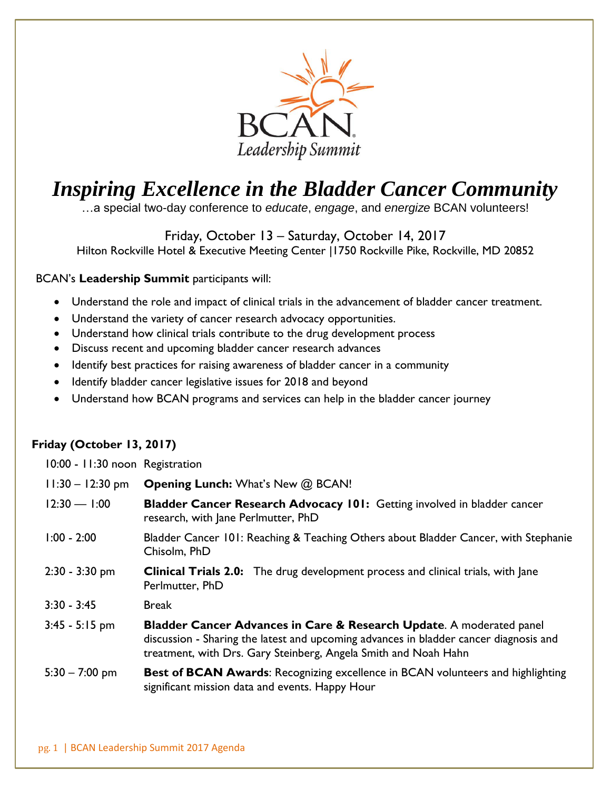

## *Inspiring Excellence in the Bladder Cancer Community*

…a special two-day conference to *educate*, *engage*, and *energize* BCAN volunteers!

Friday, October 13 – Saturday, October 14, 2017 Hilton Rockville Hotel & Executive Meeting Center |1750 Rockville Pike, Rockville, MD 20852

## BCAN's **Leadership Summit** participants will:

- Understand the role and impact of clinical trials in the advancement of bladder cancer treatment.
- Understand the variety of cancer research advocacy opportunities.
- Understand how clinical trials contribute to the drug development process
- Discuss recent and upcoming bladder cancer research advances
- Identify best practices for raising awareness of bladder cancer in a community
- Identify bladder cancer legislative issues for 2018 and beyond
- Understand how BCAN programs and services can help in the bladder cancer journey

## **Friday (October 13, 2017)**

| 10:00 - 11:30 noon Registration |                                                                                                                                                                                                                                             |
|---------------------------------|---------------------------------------------------------------------------------------------------------------------------------------------------------------------------------------------------------------------------------------------|
| $11:30 - 12:30$ pm              | <b>Opening Lunch:</b> What's New @ BCAN!                                                                                                                                                                                                    |
| $12:30 - 1:00$                  | Bladder Cancer Research Advocacy 101: Getting involved in bladder cancer<br>research, with Jane Perlmutter, PhD                                                                                                                             |
| $1:00 - 2:00$                   | Bladder Cancer 101: Reaching & Teaching Others about Bladder Cancer, with Stephanie<br>Chisolm, PhD                                                                                                                                         |
| $2:30 - 3:30$ pm                | <b>Clinical Trials 2.0:</b> The drug development process and clinical trials, with Jane<br>Perlmutter, PhD                                                                                                                                  |
| $3:30 - 3:45$                   | <b>Break</b>                                                                                                                                                                                                                                |
| $3:45 - 5:15$ pm                | <b>Bladder Cancer Advances in Care &amp; Research Update.</b> A moderated panel<br>discussion - Sharing the latest and upcoming advances in bladder cancer diagnosis and<br>treatment, with Drs. Gary Steinberg, Angela Smith and Noah Hahn |
| $5:30 - 7:00$ pm                | <b>Best of BCAN Awards: Recognizing excellence in BCAN volunteers and highlighting</b><br>significant mission data and events. Happy Hour                                                                                                   |